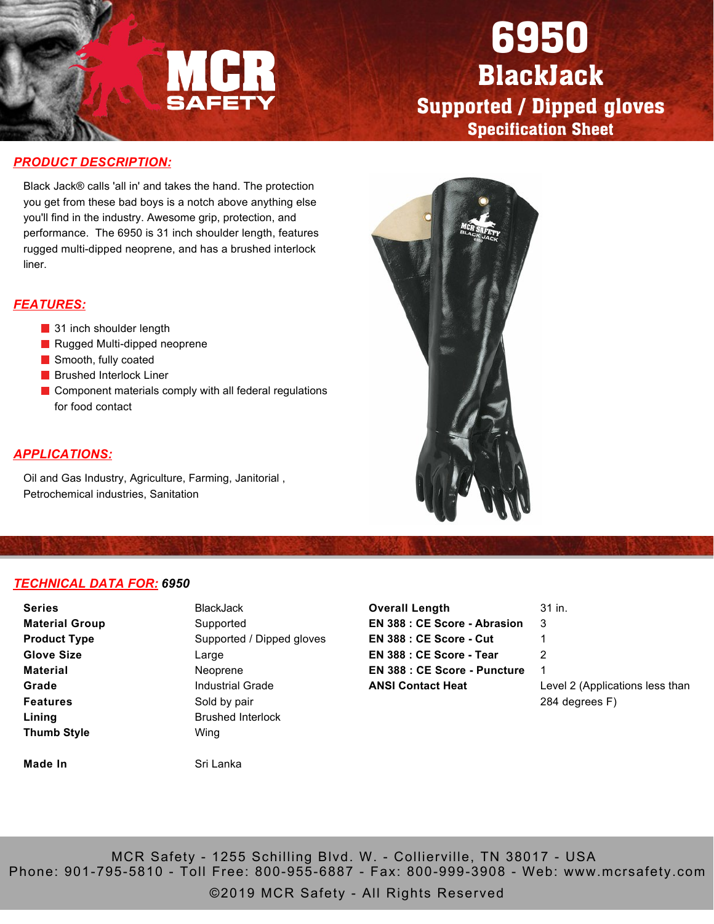

# 6950 BlackJack Supported / Dipped gloves Specification Sheet

### *PRODUCT DESCRIPTION:*

Black Jack® calls 'all in' and takes the hand. The protection you get from these bad boys is a notch above anything else you'll find in the industry. Awesome grip, protection, and performance. The 6950 is 31 inch shoulder length, features rugged multi-dipped neoprene, and has a brushed interlock liner.

#### *FEATURES:*

- 31 inch shoulder length
- Rugged Multi-dipped neoprene
- Smooth, fully coated
- **Brushed Interlock Liner**
- Component materials comply with all federal regulations for food contact

#### *APPLICATIONS:*

Oil and Gas Industry, Agriculture, Farming, Janitorial , Petrochemical industries, Sanitation



### *TECHNICAL DATA FOR: 6950*

| <b>Series</b>         | BlackJack  |
|-----------------------|------------|
| <b>Material Group</b> | Supported  |
| <b>Product Type</b>   | Supported  |
| <b>Glove Size</b>     | Large      |
| Material              | Neoprene   |
| Grade                 | Industrial |
| <b>Features</b>       | Sold by pa |
| Lining                | Brushed I  |
| <b>Thumb Style</b>    | Wing       |
|                       |            |
| Made In               | Sri Lanka  |

**BlackJack** Supported Supported / Dipped gloves Large Neoprene Industrial Grade Sold by pair Brushed Interlock Wing

| <b>Overall Length</b>               | 31 in.                          |
|-------------------------------------|---------------------------------|
| <b>EN 388 : CE Score - Abrasion</b> | 3                               |
| EN 388 : CE Score - Cut             |                                 |
| EN 388 : CE Score - Tear            | 2                               |
| <b>EN 388 : CE Score - Puncture</b> | 1                               |
| <b>ANSI Contact Heat</b>            | Level 2 (Applications less than |
|                                     | 284 degrees F)                  |

MCR Safety - 1255 Schilling Blvd. W. - Collierville, TN 38017 - USA Phone: 901-795-5810 - Toll Free: 800-955-6887 - Fax: 800-999-3908 - Web: www.mcrsafety.com

©2019 MCR Safety - All Rights Reserved